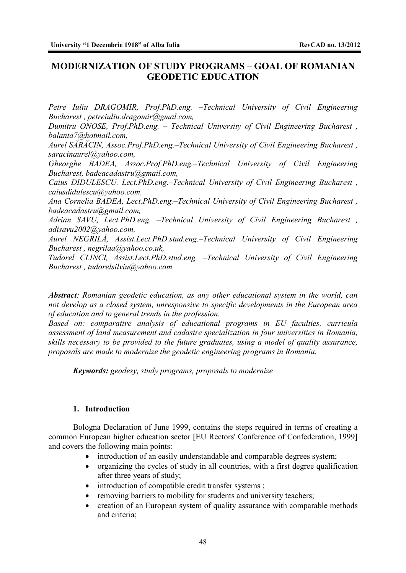## **MODERNIZATION OF STUDY PROGRAMS – GOAL OF ROMANIAN GEODETIC EDUCATION**

*Petre Iuliu DRAGOMIR, Prof.PhD.eng. –Technical University of Civil Engineering Bucharest , petreiuliu.dragomir@gmal.com,* 

*Dumitru ONOSE, Prof.PhD.eng. – Technical University of Civil Engineering Bucharest , balanta7@hotmail.com,*

*Aurel SĂRĂCIN, Assoc.Prof.PhD.eng.–Technical University of Civil Engineering Bucharest , saracinaurel@yahoo.com,* 

*Gheorghe BADEA, Assoc.Prof.PhD.eng.–Technical University of Civil Engineering Bucharest, badeacadastru@gmail.com,* 

*Caius DIDULESCU, Lect.PhD.eng.–Technical University of Civil Engineering Bucharest , caiusdidulescu@yahoo.com,* 

*Ana Cornelia BADEA, Lect.PhD.eng.–Technical University of Civil Engineering Bucharest , badeacadastru@gmail.com,* 

*Adrian SAVU, Lect.PhD.eng. –Technical University of Civil Engineering Bucharest , adisavu2002@yahoo.com,* 

*Aurel NEGRILĂ, Assist.Lect.PhD.stud.eng.–Technical University of Civil Engineering Bucharest , negrilaa@yahoo.co.uk,* 

*Tudorel CLINCI, Assist.Lect.PhD.stud.eng. –Technical University of Civil Engineering Bucharest , tudorelsilviu@yahoo.com*

*Abstract: Romanian geodetic education, as any other educational system in the world, can not develop as a closed system, unresponsive to specific developments in the European area of education and to general trends in the profession.* 

*Based on: comparative analysis of educational programs in EU faculties, curricula assessment of land measurement and cadastre specialization in four universities in Romania, skills necessary to be provided to the future graduates, using a model of quality assurance, proposals are made to modernize the geodetic engineering programs in Romania.* 

*Keywords: geodesy, study programs, proposals to modernize* 

#### **1. Introduction**

Bologna Declaration of June 1999, contains the steps required in terms of creating a common European higher education sector [EU Rectors' Conference of Confederation, 1999] and covers the following main points:

- introduction of an easily understandable and comparable degrees system;
- organizing the cycles of study in all countries, with a first degree qualification after three years of study;
- $\bullet$  introduction of compatible credit transfer systems;
- removing barriers to mobility for students and university teachers;
- creation of an European system of quality assurance with comparable methods and criteria;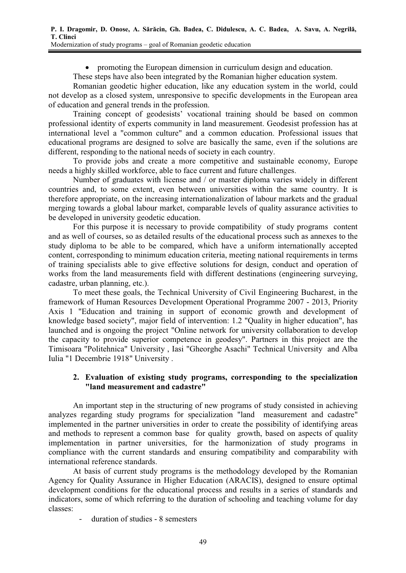• promoting the European dimension in curriculum design and education.

These steps have also been integrated by the Romanian higher education system.

Romanian geodetic higher education, like any education system in the world, could not develop as a closed system, unresponsive to specific developments in the European area of education and general trends in the profession.

Training concept of geodesists' vocational training should be based on common professional identity of experts community in land measurement. Geodesist profession has at international level a "common culture" and a common education. Professional issues that educational programs are designed to solve are basically the same, even if the solutions are different, responding to the national needs of society in each country.

To provide jobs and create a more competitive and sustainable economy, Europe needs a highly skilled workforce, able to face current and future challenges.

Number of graduates with license and / or master diploma varies widely in different countries and, to some extent, even between universities within the same country. It is therefore appropriate, on the increasing internationalization of labour markets and the gradual merging towards a global labour market, comparable levels of quality assurance activities to be developed in university geodetic education.

For this purpose it is necessary to provide compatibility of study programs content and as well of courses, so as detailed results of the educational process such as annexes to the study diploma to be able to be compared, which have a uniform internationally accepted content, corresponding to minimum education criteria, meeting national requirements in terms of training specialists able to give effective solutions for design, conduct and operation of works from the land measurements field with different destinations (engineering surveying, cadastre, urban planning, etc.).

To meet these goals, the Technical University of Civil Engineering Bucharest, in the framework of Human Resources Development Operational Programme 2007 - 2013, Priority Axis 1 "Education and training in support of economic growth and development of knowledge based society", major field of intervention: 1.2 "Quality in higher education", has launched and is ongoing the project "Online network for university collaboration to develop the capacity to provide superior competence in geodesy". Partners in this project are the Timisoara "Politehnica" University , Iasi "Gheorghe Asachi" Technical University and Alba Iulia "1 Decembrie 1918" University .

## **2. Evaluation of existing study programs, corresponding to the specialization "land measurement and cadastre"**

An important step in the structuring of new programs of study consisted in achieving analyzes regarding study programs for specialization "land measurement and cadastre" implemented in the partner universities in order to create the possibility of identifying areas and methods to represent a common base for quality growth, based on aspects of quality implementation in partner universities, for the harmonization of study programs in compliance with the current standards and ensuring compatibility and comparability with international reference standards.

At basis of current study programs is the methodology developed by the Romanian Agency for Quality Assurance in Higher Education (ARACIS), designed to ensure optimal development conditions for the educational process and results in a series of standards and indicators, some of which referring to the duration of schooling and teaching volume for day classes:

Ȭ duration of studies - 8 semesters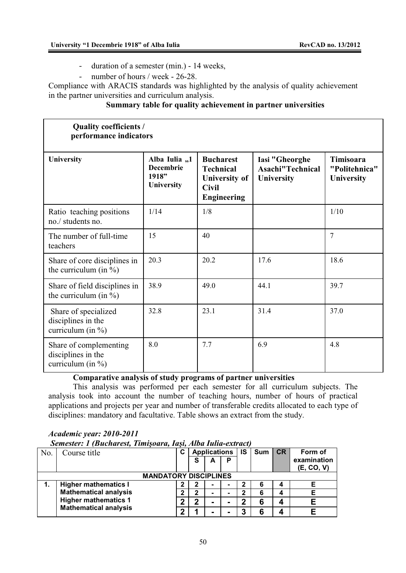- duration of a semester (min.) 14 weeks,
- number of hours / week 26-28.

Compliance with ARACIS standards was highlighted by the analysis of quality achievement in the partner universities and curriculum analysis.

## **Summary table for quality achievement in partner universities**

| <b>Quality coefficients /</b><br>performance indicators               |                                                          |                                                                                                    |                                                  |                                                 |  |  |  |  |  |
|-----------------------------------------------------------------------|----------------------------------------------------------|----------------------------------------------------------------------------------------------------|--------------------------------------------------|-------------------------------------------------|--|--|--|--|--|
| University                                                            | Alba Iulia "1<br><b>Decembrie</b><br>1918"<br>University | <b>Bucharest</b><br><b>Technical</b><br><b>University of</b><br><b>Civil</b><br><b>Engineering</b> | Iasi "Gheorghe<br>Asachi"Technical<br>University | <b>Timisoara</b><br>"Politehnica"<br>University |  |  |  |  |  |
| Ratio teaching positions<br>no./ students no.                         | 1/14                                                     | 1/8                                                                                                |                                                  | 1/10                                            |  |  |  |  |  |
| The number of full-time<br>teachers                                   | 15                                                       | 40                                                                                                 |                                                  | $\overline{7}$                                  |  |  |  |  |  |
| Share of core disciplines in<br>the curriculum (in $\%$ )             | 20.3                                                     | 20.2                                                                                               | 17.6                                             | 18.6                                            |  |  |  |  |  |
| Share of field disciplines in<br>the curriculum (in $\%$ )            | 38.9                                                     | 49.0                                                                                               | 44.1                                             | 39.7                                            |  |  |  |  |  |
| Share of specialized<br>disciplines in the<br>curriculum (in $\%$ )   | 32.8                                                     | 23.1                                                                                               | 31.4                                             | 37.0                                            |  |  |  |  |  |
| Share of complementing<br>disciplines in the<br>curriculum (in $\%$ ) | 8.0                                                      | 7.7                                                                                                | 6.9                                              | 4.8                                             |  |  |  |  |  |

## **Comparative analysis of study programs of partner universities**

This analysis was performed per each semester for all curriculum subjects. The analysis took into account the number of teaching hours, number of hours of practical applications and projects per year and number of transferable credits allocated to each type of disciplines: mandatory and facultative. Table shows an extract from the study.

# *Academic year: 2010-2011*

 *Semester: 1 (Bucharest, Timiúoara, Iaúi, Alba Iulia-extract)* 

| N <sub>o</sub>               | Course title                                                | С | <b>Applications</b> |   |   | IS | Sum | <b>CR</b> | Form of                   |
|------------------------------|-------------------------------------------------------------|---|---------------------|---|---|----|-----|-----------|---------------------------|
|                              |                                                             |   | S                   | A | P |    |     |           | examination<br>(E, CO, V) |
| <b>MANDATORY DISCIPLINES</b> |                                                             |   |                     |   |   |    |     |           |                           |
|                              | <b>Higher mathematics I</b>                                 | 2 | 2                   |   |   | 2  | 6   | 4         |                           |
|                              | <b>Mathematical analysis</b>                                | ◠ | 2                   |   |   | າ  | 6   | 4         |                           |
|                              | <b>Higher mathematics 1</b><br><b>Mathematical analysis</b> | ◠ | 2                   |   |   | מ  | 6   | Δ         |                           |
|                              |                                                             | ົ |                     |   |   | 3  | 6   | 4         |                           |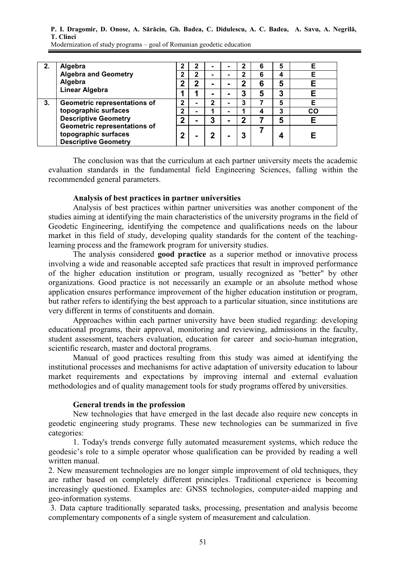**P. I. Dragomir, D. Onose, A. Sărăcin, Gh. Badea, C. Didulescu, A. C. Badea, A. Savu, A. Negrilă, T. Clinci** 

| 2. | Algebra                                                                                                                                    | າ           | 2           |   |   | 2           | 6 | 5 | Е  |
|----|--------------------------------------------------------------------------------------------------------------------------------------------|-------------|-------------|---|---|-------------|---|---|----|
|    | <b>Algebra and Geometry</b>                                                                                                                | 2           | $\mathbf 2$ |   | - | 2           | 6 | 4 | Е  |
|    | Algebra<br><b>Linear Algebra</b>                                                                                                           | 2           | 2           |   | - | $\mathbf 2$ | 6 | 5 | E  |
|    |                                                                                                                                            |             |             |   | - | 3           | 5 | 3 |    |
| 3. | Geometric representations of                                                                                                               | 2           |             | 2 | - | 3           |   | 5 | Е  |
|    | topographic surfaces<br><b>Descriptive Geometry</b><br>Geometric representations of<br>topographic surfaces<br><b>Descriptive Geometry</b> | $\mathbf 2$ |             |   |   |             | 4 | 3 | CO |
|    |                                                                                                                                            | $\mathbf 2$ |             | 3 | - | 2           |   | 5 | Е  |
|    |                                                                                                                                            | $\mathbf 2$ |             |   | - | 3           |   | 4 |    |

Modernization of study programs – goal of Romanian geodetic education

The conclusion was that the curriculum at each partner university meets the academic evaluation standards in the fundamental field Engineering Sciences, falling within the recommended general parameters.

#### **Analysis of best practices in partner universities**

Analysis of best practices within partner universities was another component of the studies aiming at identifying the main characteristics of the university programs in the field of Geodetic Engineering, identifying the competence and qualifications needs on the labour market in this field of study, developing quality standards for the content of the teachinglearning process and the framework program for university studies.

The analysis considered **good practice** as a superior method or innovative process involving a wide and reasonable accepted safe practices that result in improved performance of the higher education institution or program, usually recognized as "better" by other organizations. Good practice is not necessarily an example or an absolute method whose application ensures performance improvement of the higher education institution or program, but rather refers to identifying the best approach to a particular situation, since institutions are very different in terms of constituents and domain.

Approaches within each partner university have been studied regarding: developing educational programs, their approval, monitoring and reviewing, admissions in the faculty, student assessment, teachers evaluation, education for career and socio-human integration, scientific research, master and doctoral programs.

Manual of good practices resulting from this study was aimed at identifying the institutional processes and mechanisms for active adaptation of university education to labour market requirements and expectations by improving internal and external evaluation methodologies and of quality management tools for study programs offered by universities.

#### **General trends in the profession**

New technologies that have emerged in the last decade also require new concepts in geodetic engineering study programs. These new technologies can be summarized in five categories:

1. Today's trends converge fully automated measurement systems, which reduce the geodesic's role to a simple operator whose qualification can be provided by reading a well written manual.

2. New measurement technologies are no longer simple improvement of old techniques, they are rather based on completely different principles. Traditional experience is becoming increasingly questioned. Examples are: GNSS technologies, computer-aided mapping and geo-information systems.

 3. Data capture traditionally separated tasks, processing, presentation and analysis become complementary components of a single system of measurement and calculation.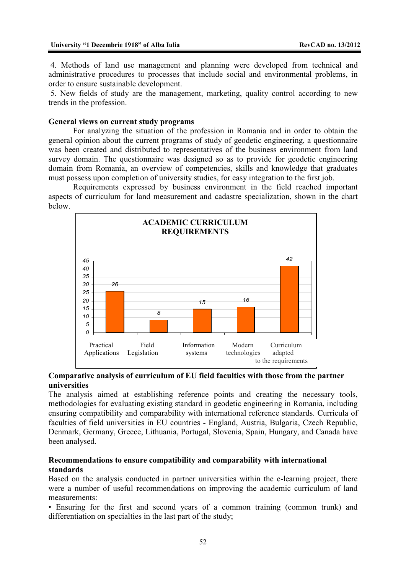4. Methods of land use management and planning were developed from technical and administrative procedures to processes that include social and environmental problems, in order to ensure sustainable development.

 5. New fields of study are the management, marketing, quality control according to new trends in the profession.

#### **General views on current study programs**

 For analyzing the situation of the profession in Romania and in order to obtain the general opinion about the current programs of study of geodetic engineering, a questionnaire was been created and distributed to representatives of the business environment from land survey domain. The questionnaire was designed so as to provide for geodetic engineering domain from Romania, an overview of competencies, skills and knowledge that graduates must possess upon completion of university studies, for easy integration to the first job.

Requirements expressed by business environment in the field reached important aspects of curriculum for land measurement and cadastre specialization, shown in the chart below.



#### **Comparative analysis of curriculum of EU field faculties with those from the partner universities**

The analysis aimed at establishing reference points and creating the necessary tools, methodologies for evaluating existing standard in geodetic engineering in Romania, including ensuring compatibility and comparability with international reference standards. Curricula of faculties of field universities in EU countries - England, Austria, Bulgaria, Czech Republic, Denmark, Germany, Greece, Lithuania, Portugal, Slovenia, Spain, Hungary, and Canada have been analysed.

#### **Recommendations to ensure compatibility and comparability with international standards**

Based on the analysis conducted in partner universities within the e-learning project, there were a number of useful recommendations on improving the academic curriculum of land measurements:

• Ensuring for the first and second years of a common training (common trunk) and differentiation on specialties in the last part of the study;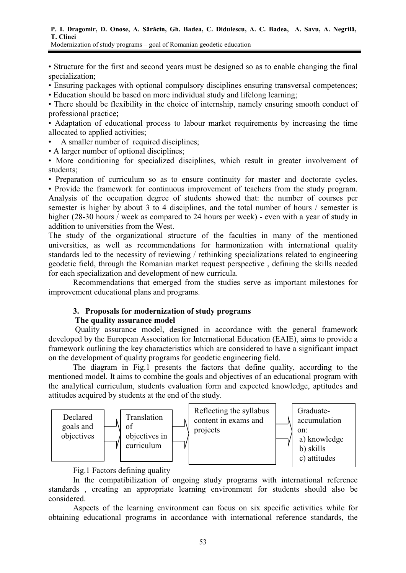• Structure for the first and second years must be designed so as to enable changing the final specialization;

• Ensuring packages with optional compulsory disciplines ensuring transversal competences;

• Education should be based on more individual study and lifelong learning;

• There should be flexibility in the choice of internship, namely ensuring smooth conduct of professional practice**;**

• Adaptation of educational process to labour market requirements by increasing the time allocated to applied activities;

• A smaller number of required disciplines;

• A larger number of optional disciplines;

• More conditioning for specialized disciplines, which result in greater involvement of students;

• Preparation of curriculum so as to ensure continuity for master and doctorate cycles. • Provide the framework for continuous improvement of teachers from the study program. Analysis of the occupation degree of students showed that: the number of courses per semester is higher by about 3 to 4 disciplines, and the total number of hours / semester is higher (28-30 hours / week as compared to 24 hours per week) - even with a year of study in addition to universities from the West.

The study of the organizational structure of the faculties in many of the mentioned universities, as well as recommendations for harmonization with international quality standards led to the necessity of reviewing / rethinking specializations related to engineering geodetic field, through the Romanian market request perspective , defining the skills needed for each specialization and development of new curricula.

Recommendations that emerged from the studies serve as important milestones for improvement educational plans and programs.

#### **3. Proposals for modernization of study programs The quality assurance model**

 Quality assurance model, designed in accordance with the general framework developed by the European Association for International Education (EAIE), aims to provide a framework outlining the key characteristics which are considered to have a significant impact on the development of quality programs for geodetic engineering field.

The diagram in Fig.1 presents the factors that define quality, according to the mentioned model. It aims to combine the goals and objectives of an educational program with the analytical curriculum, students evaluation form and expected knowledge, aptitudes and attitudes acquired by students at the end of the study.



Fig.1 Factors defining quality

In the compatibilization of ongoing study programs with international reference standards , creating an appropriate learning environment for students should also be considered.

Aspects of the learning environment can focus on six specific activities while for obtaining educational programs in accordance with international reference standards, the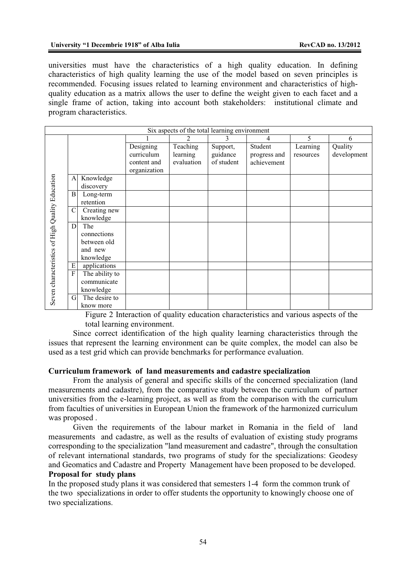universities must have the characteristics of a high quality education. In defining characteristics of high quality learning the use of the model based on seven principles is recommended. Focusing issues related to learning environment and characteristics of highquality education as a matrix allows the user to define the weight given to each facet and a single frame of action, taking into account both stakeholders: institutional climate and program characteristics.

|                                                 |                |                |              | Six aspects of the total learning environment |            |              |           |             |
|-------------------------------------------------|----------------|----------------|--------------|-----------------------------------------------|------------|--------------|-----------|-------------|
|                                                 |                |                |              | $\mathfrak{D}$                                |            | 4            | 5         | 6           |
|                                                 |                |                | Designing    | Teaching                                      | Support,   | Student      | Learning  | Quality     |
|                                                 |                |                | curriculum   | learning                                      | guidance   | progress and | resources | development |
|                                                 |                |                | content and  | evaluation                                    | of student | achievement  |           |             |
| Seven characteristics of High Quality Education |                |                | organization |                                               |            |              |           |             |
|                                                 | A              | Knowledge      |              |                                               |            |              |           |             |
|                                                 |                | discovery      |              |                                               |            |              |           |             |
|                                                 | B              | Long-term      |              |                                               |            |              |           |             |
|                                                 |                | retention      |              |                                               |            |              |           |             |
|                                                 | $\mathcal{C}$  | Creating new   |              |                                               |            |              |           |             |
|                                                 |                | knowledge      |              |                                               |            |              |           |             |
|                                                 | D              | The            |              |                                               |            |              |           |             |
|                                                 |                | connections    |              |                                               |            |              |           |             |
|                                                 |                | between old    |              |                                               |            |              |           |             |
|                                                 |                | and new        |              |                                               |            |              |           |             |
|                                                 |                | knowledge      |              |                                               |            |              |           |             |
|                                                 | E              | applications   |              |                                               |            |              |           |             |
|                                                 | $\overline{F}$ | The ability to |              |                                               |            |              |           |             |
|                                                 |                | communicate    |              |                                               |            |              |           |             |
|                                                 |                | knowledge      |              |                                               |            |              |           |             |
|                                                 | G              | The desire to  |              |                                               |            |              |           |             |
|                                                 |                | know more      |              |                                               |            |              |           |             |

Figure 2 Interaction of quality education characteristics and various aspects of the total learning environment.

Since correct identification of the high quality learning characteristics through the issues that represent the learning environment can be quite complex, the model can also be used as a test grid which can provide benchmarks for performance evaluation.

#### **Curriculum framework of land measurements and cadastre specialization**

From the analysis of general and specific skills of the concerned specialization (land measurements and cadastre), from the comparative study between the curriculum of partner universities from the e-learning project, as well as from the comparison with the curriculum from faculties of universities in European Union the framework of the harmonized curriculum was proposed .

Given the requirements of the labour market in Romania in the field of land measurements and cadastre, as well as the results of evaluation of existing study programs corresponding to the specialization "land measurement and cadastre", through the consultation of relevant international standards, two programs of study for the specializations: Geodesy and Geomatics and Cadastre and Property Management have been proposed to be developed.

## **Proposal for study plans**

In the proposed study plans it was considered that semesters 1-4 form the common trunk of the two specializations in order to offer students the opportunity to knowingly choose one of two specializations.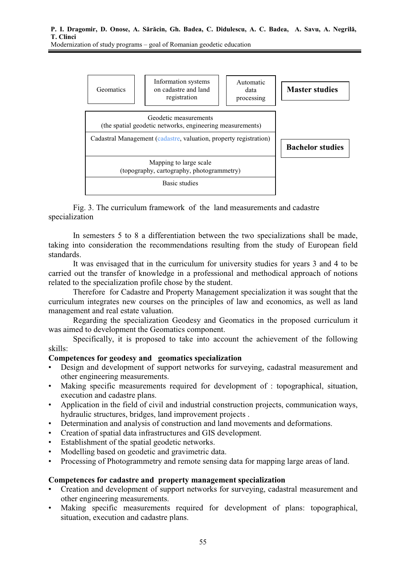

Fig. 3. The curriculum framework of the land measurements and cadastre specialization

In semesters 5 to 8 a differentiation between the two specializations shall be made, taking into consideration the recommendations resulting from the study of European field standards.

It was envisaged that in the curriculum for university studies for years 3 and 4 to be carried out the transfer of knowledge in a professional and methodical approach of notions related to the specialization profile chose by the student.

Therefore for Cadastre and Property Management specialization it was sought that the curriculum integrates new courses on the principles of law and economics, as well as land management and real estate valuation.

Regarding the specialization Geodesy and Geomatics in the proposed curriculum it was aimed to development the Geomatics component.

 Specifically, it is proposed to take into account the achievement of the following skills:

#### **Competences for geodesy and geomatics specialization**

- Design and development of support networks for surveying, cadastral measurement and other engineering measurements.
- Making specific measurements required for development of : topographical, situation, execution and cadastre plans.
- Application in the field of civil and industrial construction projects, communication ways, hydraulic structures, bridges, land improvement projects .
- Determination and analysis of construction and land movements and deformations.
- Creation of spatial data infrastructures and GIS development.
- Establishment of the spatial geodetic networks.
- Modelling based on geodetic and gravimetric data.
- Processing of Photogrammetry and remote sensing data for mapping large areas of land.

#### **Competences for cadastre and property management specialization**

- Creation and development of support networks for surveying, cadastral measurement and other engineering measurements.
- Making specific measurements required for development of plans: topographical, situation, execution and cadastre plans.